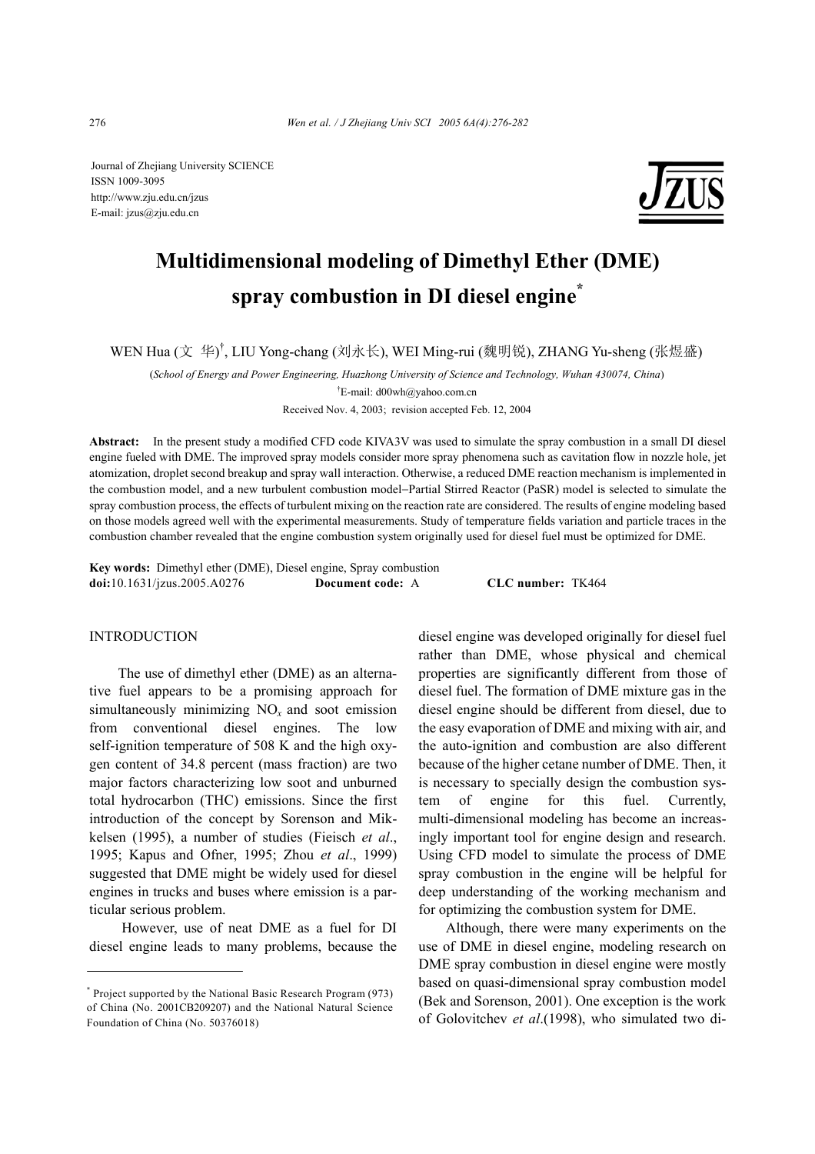Journal of Zhejiang University SCIENCE ISSN 1009-3095 http://www.zju.edu.cn/jzus E-mail: jzus@zju.edu.cn



# **Multidimensional modeling of Dimethyl Ether (DME) spray combustion in DI diesel engine\***

WEN Hua (文 华)<sup>†</sup>, LIU Yong-chang (刘永长), WEI Ming-rui (魏明锐), ZHANG Yu-sheng (张煜盛)

(*School of Energy and Power Engineering, Huazhong University of Science and Technology, Wuhan 430074, China*)

† E-mail: d00wh@yahoo.com.cn

Received Nov. 4, 2003; revision accepted Feb. 12, 2004

**Abstract:** In the present study a modified CFD code KIVA3V was used to simulate the spray combustion in a small DI diesel engine fueled with DME. The improved spray models consider more spray phenomena such as cavitation flow in nozzle hole, jet atomization, droplet second breakup and spray wall interaction. Otherwise, a reduced DME reaction mechanism is implemented in the combustion model, and a new turbulent combustion model−Partial Stirred Reactor (PaSR) model is selected to simulate the spray combustion process, the effects of turbulent mixing on the reaction rate are considered. The results of engine modeling based on those models agreed well with the experimental measurements. Study of temperature fields variation and particle traces in the combustion chamber revealed that the engine combustion system originally used for diesel fuel must be optimized for DME.

**Key words:** Dimethyl ether (DME), Diesel engine, Spray combustion **doi:**10.1631/jzus.2005.A0276 **Document code:** A **CLC number:** TK464

## INTRODUCTION

The use of dimethyl ether (DME) as an alternative fuel appears to be a promising approach for simultaneously minimizing  $NO<sub>x</sub>$  and soot emission from conventional diesel engines. The low self-ignition temperature of 508 K and the high oxygen content of 34.8 percent (mass fraction) are two major factors characterizing low soot and unburned total hydrocarbon (THC) emissions. Since the first introduction of the concept by Sorenson and Mikkelsen (1995), a number of studies (Fieisch *et al*., 1995; Kapus and Ofner, 1995; Zhou *et al*., 1999) suggested that DME might be widely used for diesel engines in trucks and buses where emission is a particular serious problem.

 However, use of neat DME as a fuel for DI diesel engine leads to many problems, because the diesel engine was developed originally for diesel fuel rather than DME, whose physical and chemical properties are significantly different from those of diesel fuel. The formation of DME mixture gas in the diesel engine should be different from diesel, due to the easy evaporation of DME and mixing with air, and the auto-ignition and combustion are also different because of the higher cetane number of DME. Then, it is necessary to specially design the combustion system of engine for this fuel. Currently, multi-dimensional modeling has become an increasingly important tool for engine design and research. Using CFD model to simulate the process of DME spray combustion in the engine will be helpful for deep understanding of the working mechanism and for optimizing the combustion system for DME.

Although, there were many experiments on the use of DME in diesel engine, modeling research on DME spray combustion in diesel engine were mostly based on quasi-dimensional spray combustion model (Bek and Sorenson, 2001). One exception is the work of Golovitchev *et al*.(1998), who simulated two di-

<sup>\*</sup> Project supported by the National Basic Research Program (973) of China (No. 2001CB209207) and the National Natural Science Foundation of China (No. 50376018)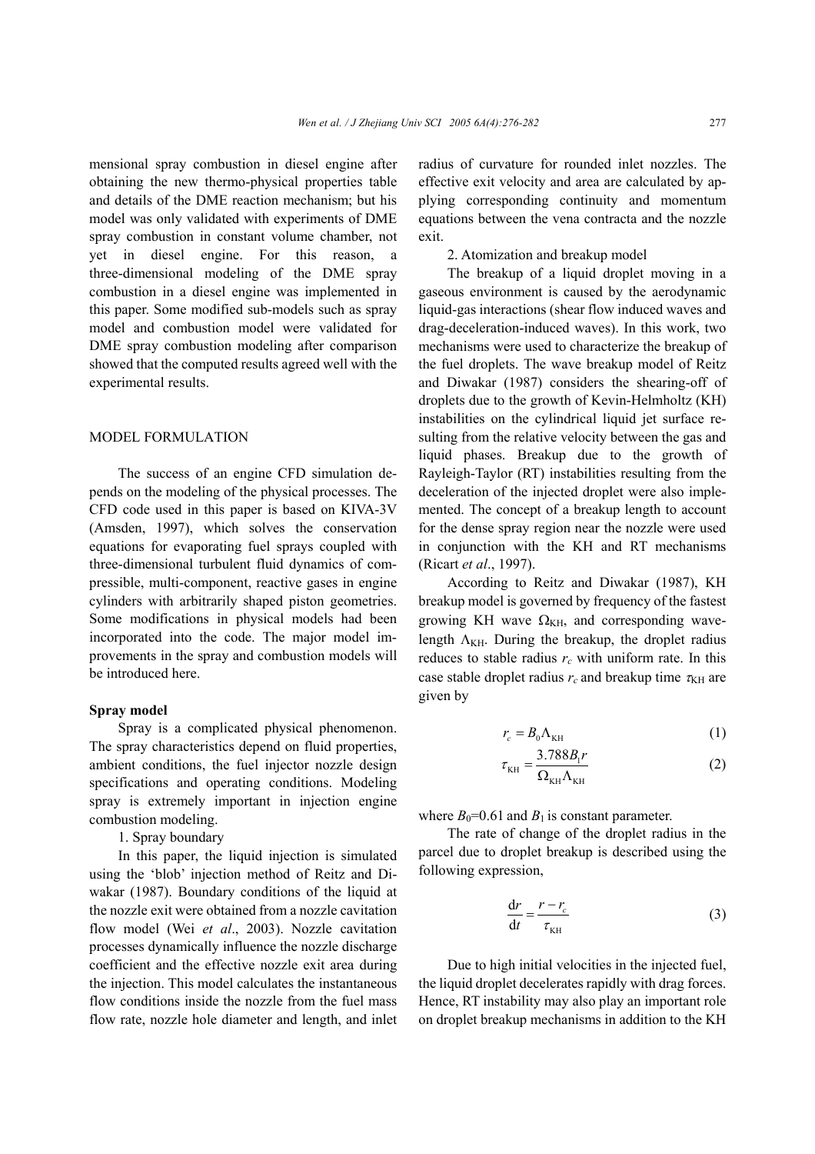mensional spray combustion in diesel engine after obtaining the new thermo-physical properties table and details of the DME reaction mechanism; but his model was only validated with experiments of DME spray combustion in constant volume chamber, not yet in diesel engine. For this reason, a three-dimensional modeling of the DME spray combustion in a diesel engine was implemented in this paper. Some modified sub-models such as spray model and combustion model were validated for DME spray combustion modeling after comparison showed that the computed results agreed well with the experimental results.

## MODEL FORMULATION

The success of an engine CFD simulation depends on the modeling of the physical processes. The CFD code used in this paper is based on KIVA-3V (Amsden, 1997), which solves the conservation equations for evaporating fuel sprays coupled with three-dimensional turbulent fluid dynamics of compressible, multi-component, reactive gases in engine cylinders with arbitrarily shaped piston geometries. Some modifications in physical models had been incorporated into the code. The major model improvements in the spray and combustion models will be introduced here.

#### **Spray model**

Spray is a complicated physical phenomenon. The spray characteristics depend on fluid properties, ambient conditions, the fuel injector nozzle design specifications and operating conditions. Modeling spray is extremely important in injection engine combustion modeling.

1. Spray boundary

In this paper, the liquid injection is simulated using the 'blob' injection method of Reitz and Diwakar (1987). Boundary conditions of the liquid at the nozzle exit were obtained from a nozzle cavitation flow model (Wei *et al*., 2003). Nozzle cavitation processes dynamically influence the nozzle discharge coefficient and the effective nozzle exit area during the injection. This model calculates the instantaneous flow conditions inside the nozzle from the fuel mass flow rate, nozzle hole diameter and length, and inlet

radius of curvature for rounded inlet nozzles. The effective exit velocity and area are calculated by applying corresponding continuity and momentum equations between the vena contracta and the nozzle exit.

#### 2. Atomization and breakup model

The breakup of a liquid droplet moving in a gaseous environment is caused by the aerodynamic liquid-gas interactions (shear flow induced waves and drag-deceleration-induced waves). In this work, two mechanisms were used to characterize the breakup of the fuel droplets. The wave breakup model of Reitz and Diwakar (1987) considers the shearing-off of droplets due to the growth of Kevin-Helmholtz (KH) instabilities on the cylindrical liquid jet surface resulting from the relative velocity between the gas and liquid phases. Breakup due to the growth of Rayleigh-Taylor (RT) instabilities resulting from the deceleration of the injected droplet were also implemented. The concept of a breakup length to account for the dense spray region near the nozzle were used in conjunction with the KH and RT mechanisms (Ricart *et al*., 1997).

According to Reitz and Diwakar (1987), KH breakup model is governed by frequency of the fastest growing KH wave  $\Omega_{\text{KH}}$ , and corresponding wavelength  $\Lambda_{\text{KH}}$ . During the breakup, the droplet radius reduces to stable radius  $r_c$  with uniform rate. In this case stable droplet radius  $r_c$  and breakup time  $\tau_{\text{KH}}$  are given by

$$
r_c = B_0 \Lambda_{\text{KH}} \tag{1}
$$

$$
\tau_{\text{KH}} = \frac{3.788B_{\text{l}}r}{\Omega_{\text{KH}}\Lambda_{\text{KH}}} \tag{2}
$$

where  $B_0$ =0.61 and  $B_1$  is constant parameter.

The rate of change of the droplet radius in the parcel due to droplet breakup is described using the following expression,

$$
\frac{\mathrm{d}r}{\mathrm{d}t} = \frac{r - r_c}{\tau_{\text{KH}}} \tag{3}
$$

Due to high initial velocities in the injected fuel, the liquid droplet decelerates rapidly with drag forces. Hence, RT instability may also play an important role on droplet breakup mechanisms in addition to the KH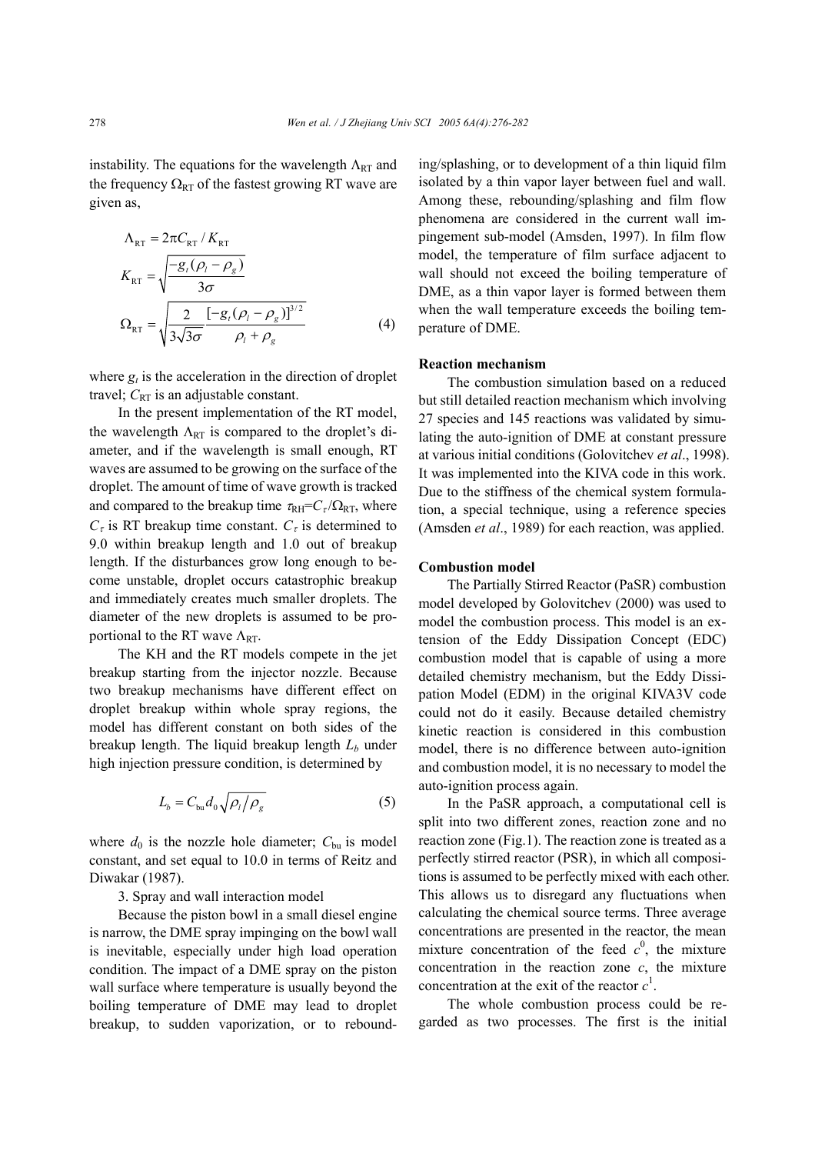instability. The equations for the wavelength  $\Lambda_{\rm RT}$  and the frequency  $\Omega_{RT}$  of the fastest growing RT wave are given as,

$$
\Lambda_{RT} = 2\pi C_{RT} / K_{RT}
$$
\n
$$
K_{RT} = \sqrt{\frac{-g_t(\rho_l - \rho_g)}{3\sigma}}
$$
\n
$$
\Omega_{RT} = \sqrt{\frac{2}{3\sqrt{3\sigma}} \frac{[-g_t(\rho_l - \rho_g)]^{3/2}}{\rho_l + \rho_g}}
$$
\n(4)

where  $g_t$  is the acceleration in the direction of droplet travel;  $C_{RT}$  is an adjustable constant.

In the present implementation of the RT model, the wavelength  $\Lambda_{RT}$  is compared to the droplet's diameter, and if the wavelength is small enough, RT waves are assumed to be growing on the surface of the droplet. The amount of time of wave growth is tracked and compared to the breakup time  $\tau_{\text{RH}}=C_{\tau}/\Omega_{\text{RT}}$ , where  $C_{\tau}$  is RT breakup time constant.  $C_{\tau}$  is determined to 9.0 within breakup length and 1.0 out of breakup length. If the disturbances grow long enough to become unstable, droplet occurs catastrophic breakup and immediately creates much smaller droplets. The diameter of the new droplets is assumed to be proportional to the RT wave  $\Lambda_{RT}$ .

The KH and the RT models compete in the jet breakup starting from the injector nozzle. Because two breakup mechanisms have different effect on droplet breakup within whole spray regions, the model has different constant on both sides of the breakup length. The liquid breakup length  $L<sub>b</sub>$  under high injection pressure condition, is determined by

$$
L_b = C_{bu} d_0 \sqrt{\rho_l / \rho_g} \tag{5}
$$

where  $d_0$  is the nozzle hole diameter;  $C_{\text{bu}}$  is model constant, and set equal to 10.0 in terms of Reitz and Diwakar (1987).

3. Spray and wall interaction model

Because the piston bowl in a small diesel engine is narrow, the DME spray impinging on the bowl wall is inevitable, especially under high load operation condition. The impact of a DME spray on the piston wall surface where temperature is usually beyond the boiling temperature of DME may lead to droplet breakup, to sudden vaporization, or to rebounding/splashing, or to development of a thin liquid film isolated by a thin vapor layer between fuel and wall. Among these, rebounding/splashing and film flow phenomena are considered in the current wall impingement sub-model (Amsden, 1997). In film flow model, the temperature of film surface adjacent to wall should not exceed the boiling temperature of DME, as a thin vapor layer is formed between them when the wall temperature exceeds the boiling temperature of DME.

#### **Reaction mechanism**

The combustion simulation based on a reduced but still detailed reaction mechanism which involving 27 species and 145 reactions was validated by simulating the auto-ignition of DME at constant pressure at various initial conditions (Golovitchev *et al*., 1998). It was implemented into the KIVA code in this work. Due to the stiffness of the chemical system formulation, a special technique, using a reference species (Amsden *et al*., 1989) for each reaction, was applied.

## **Combustion model**

The Partially Stirred Reactor (PaSR) combustion model developed by Golovitchev (2000) was used to model the combustion process. This model is an extension of the Eddy Dissipation Concept (EDC) combustion model that is capable of using a more detailed chemistry mechanism, but the Eddy Dissipation Model (EDM) in the original KIVA3V code could not do it easily. Because detailed chemistry kinetic reaction is considered in this combustion model, there is no difference between auto-ignition and combustion model, it is no necessary to model the auto-ignition process again.

In the PaSR approach, a computational cell is split into two different zones, reaction zone and no reaction zone (Fig.1). The reaction zone is treated as a perfectly stirred reactor (PSR), in which all compositions is assumed to be perfectly mixed with each other. This allows us to disregard any fluctuations when calculating the chemical source terms. Three average concentrations are presented in the reactor, the mean mixture concentration of the feed  $c^0$ , the mixture concentration in the reaction zone *c*, the mixture concentration at the exit of the reactor  $c<sup>1</sup>$ .

The whole combustion process could be regarded as two processes. The first is the initial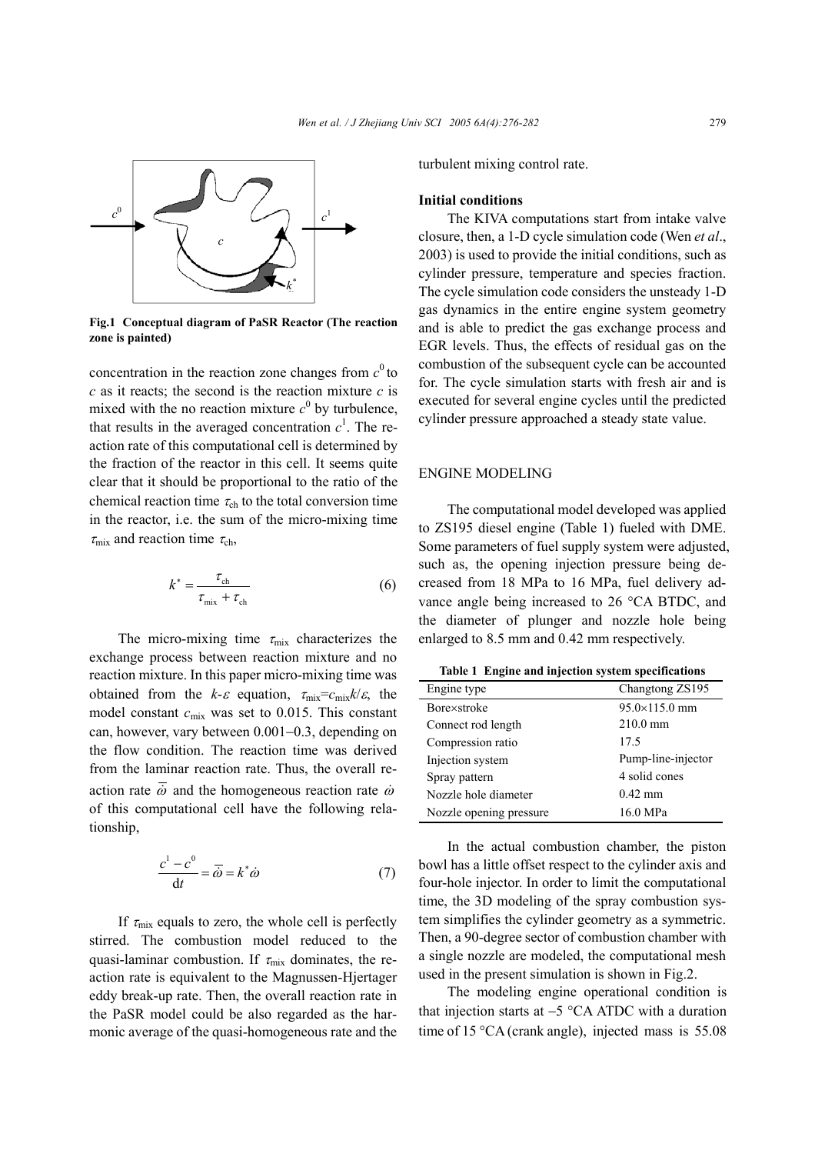

**Fig.1 Conceptual diagram of PaSR Reactor (The reaction zone is painted)**

concentration in the reaction zone changes from  $c^0$  to *c* as it reacts; the second is the reaction mixture *c* is mixed with the no reaction mixture  $c^0$  by turbulence, that results in the averaged concentration  $c<sup>1</sup>$ . The reaction rate of this computational cell is determined by the fraction of the reactor in this cell. It seems quite clear that it should be proportional to the ratio of the chemical reaction time  $\tau_{ch}$  to the total conversion time in the reactor, i.e. the sum of the micro-mixing time  $\tau_{\rm mix}$  and reaction time  $\tau_{\rm ch}$ ,

$$
k^* = \frac{\tau_{\rm ch}}{\tau_{\rm mix} + \tau_{\rm ch}}\tag{6}
$$

The micro-mixing time  $\tau_{\text{mix}}$  characterizes the exchange process between reaction mixture and no reaction mixture. In this paper micro-mixing time was obtained from the  $k-\varepsilon$  equation,  $\tau_{\text{mix}}=c_{\text{mix}}k/\varepsilon$ , the model constant  $c_{\text{mix}}$  was set to 0.015. This constant can, however, vary between 0.001−0.3, depending on the flow condition. The reaction time was derived from the laminar reaction rate. Thus, the overall reaction rate  $\overline{\dot{\omega}}$  and the homogeneous reaction rate  $\dot{\omega}$ of this computational cell have the following relationship,

$$
\frac{c^1 - c^0}{dt} = \overline{\omega} = k^* \dot{\omega} \tag{7}
$$

If  $\tau_{\text{mix}}$  equals to zero, the whole cell is perfectly stirred. The combustion model reduced to the quasi-laminar combustion. If  $\tau_{mix}$  dominates, the reaction rate is equivalent to the Magnussen-Hjertager eddy break-up rate. Then, the overall reaction rate in the PaSR model could be also regarded as the harmonic average of the quasi-homogeneous rate and the turbulent mixing control rate.

## **Initial conditions**

The KIVA computations start from intake valve closure, then, a 1-D cycle simulation code (Wen *et al*., 2003) is used to provide the initial conditions, such as cylinder pressure, temperature and species fraction. The cycle simulation code considers the unsteady 1-D gas dynamics in the entire engine system geometry and is able to predict the gas exchange process and EGR levels. Thus, the effects of residual gas on the combustion of the subsequent cycle can be accounted for. The cycle simulation starts with fresh air and is executed for several engine cycles until the predicted cylinder pressure approached a steady state value.

## ENGINE MODELING

The computational model developed was applied to ZS195 diesel engine (Table 1) fueled with DME. Some parameters of fuel supply system were adjusted, such as, the opening injection pressure being decreased from 18 MPa to 16 MPa, fuel delivery advance angle being increased to 26 °CA BTDC, and the diameter of plunger and nozzle hole being enlarged to 8.5 mm and 0.42 mm respectively.

|  |  | Table 1 Engine and injection system specifications |
|--|--|----------------------------------------------------|
|  |  |                                                    |

| Engine type             | Changtong ZS195        |  |
|-------------------------|------------------------|--|
| Bore×stroke             | $95.0 \times 115.0$ mm |  |
| Connect rod length      | $210.0 \text{ mm}$     |  |
| Compression ratio       | 17.5                   |  |
| Injection system        | Pump-line-injector     |  |
| Spray pattern           | 4 solid cones          |  |
| Nozzle hole diameter    | $0.42$ mm              |  |
| Nozzle opening pressure | 16.0 MPa               |  |

In the actual combustion chamber, the piston bowl has a little offset respect to the cylinder axis and four-hole injector. In order to limit the computational time, the 3D modeling of the spray combustion system simplifies the cylinder geometry as a symmetric. Then, a 90-degree sector of combustion chamber with a single nozzle are modeled, the computational mesh used in the present simulation is shown in Fig.2.

The modeling engine operational condition is that injection starts at −5 °CA ATDC with a duration time of 15 °CA (crank angle), injected mass is 55.08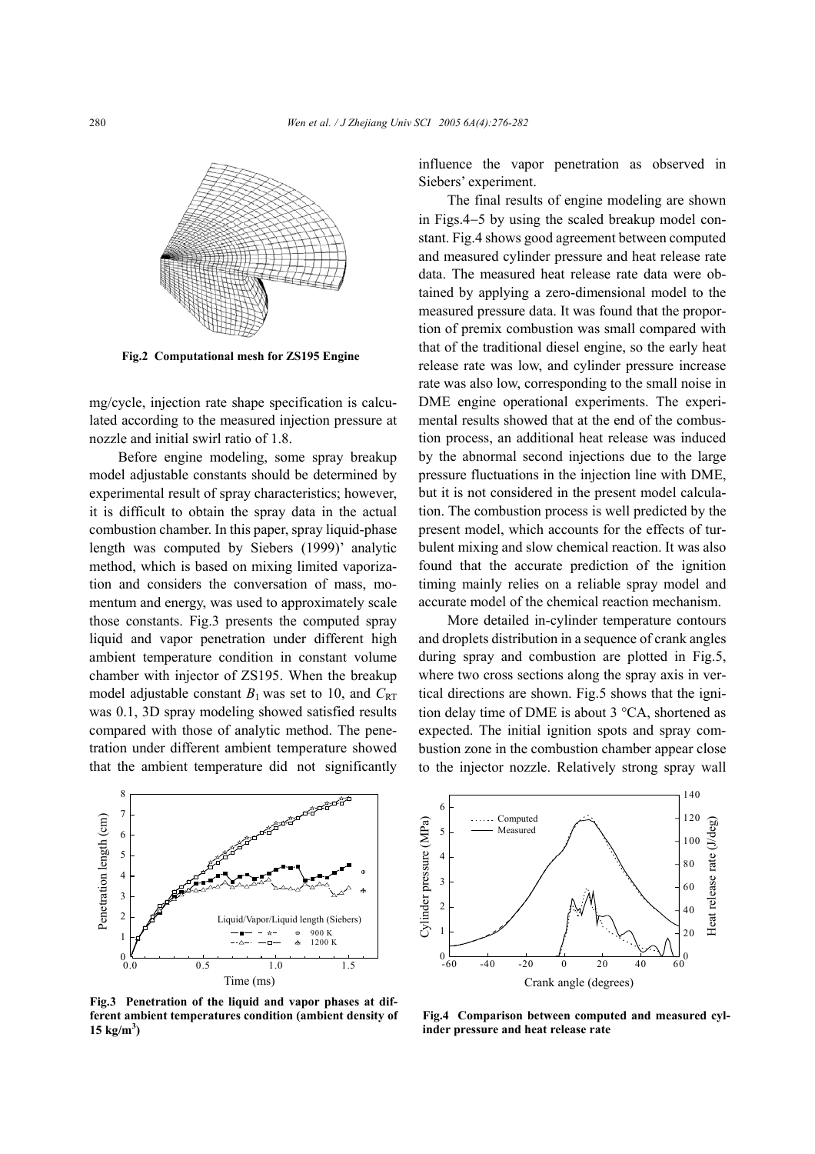

**Fig.2 Computational mesh for ZS195 Engine**

mg/cycle, injection rate shape specification is calculated according to the measured injection pressure at nozzle and initial swirl ratio of 1.8.

Before engine modeling, some spray breakup model adjustable constants should be determined by experimental result of spray characteristics; however, it is difficult to obtain the spray data in the actual combustion chamber. In this paper, spray liquid-phase length was computed by Siebers (1999)' analytic method, which is based on mixing limited vaporization and considers the conversation of mass, momentum and energy, was used to approximately scale those constants. Fig.3 presents the computed spray liquid and vapor penetration under different high ambient temperature condition in constant volume chamber with injector of ZS195. When the breakup model adjustable constant  $B_1$  was set to 10, and  $C_{\text{RT}}$ was 0.1, 3D spray modeling showed satisfied results compared with those of analytic method. The penetration under different ambient temperature showed that the ambient temperature did not significantly

en de la familie de la familie de la familie de la familie de la familie de la familie de la familie de la fami<br>La familie de la familie de la familie de la familie de la familie de la familie de la familie de la familie d 8 7 Penetration length (cm) enetration length (cm) 6 5 4 3 2 Liquid/Vapor/Liquid length (Siebers) 900 K 1  $1200K$  $^{0}_{0.0}$ 0.0 0.5 1.0 1.5 Time (ms)

**Fig.3 Penetration of the liquid and vapor phases at different ambient temperatures condition (ambient density of**  $15 \text{ kg/m}^3$ 

influence the vapor penetration as observed in Siebers' experiment.

The final results of engine modeling are shown in Figs.4−5 by using the scaled breakup model constant. Fig.4 shows good agreement between computed and measured cylinder pressure and heat release rate data. The measured heat release rate data were obtained by applying a zero-dimensional model to the measured pressure data. It was found that the proportion of premix combustion was small compared with that of the traditional diesel engine, so the early heat release rate was low, and cylinder pressure increase rate was also low, corresponding to the small noise in DME engine operational experiments. The experimental results showed that at the end of the combustion process, an additional heat release was induced by the abnormal second injections due to the large pressure fluctuations in the injection line with DME, but it is not considered in the present model calculation. The combustion process is well predicted by the present model, which accounts for the effects of turbulent mixing and slow chemical reaction. It was also found that the accurate prediction of the ignition timing mainly relies on a reliable spray model and accurate model of the chemical reaction mechanism.

More detailed in-cylinder temperature contours and droplets distribution in a sequence of crank angles during spray and combustion are plotted in Fig.5, where two cross sections along the spray axis in vertical directions are shown. Fig.5 shows that the ignition delay time of DME is about 3 °CA, shortened as expected. The initial ignition spots and spray combustion zone in the combustion chamber appear close to the injector nozzle. Relatively strong spray wall



**Fig.4 Comparison between computed and measured cylinder pressure and heat release rate**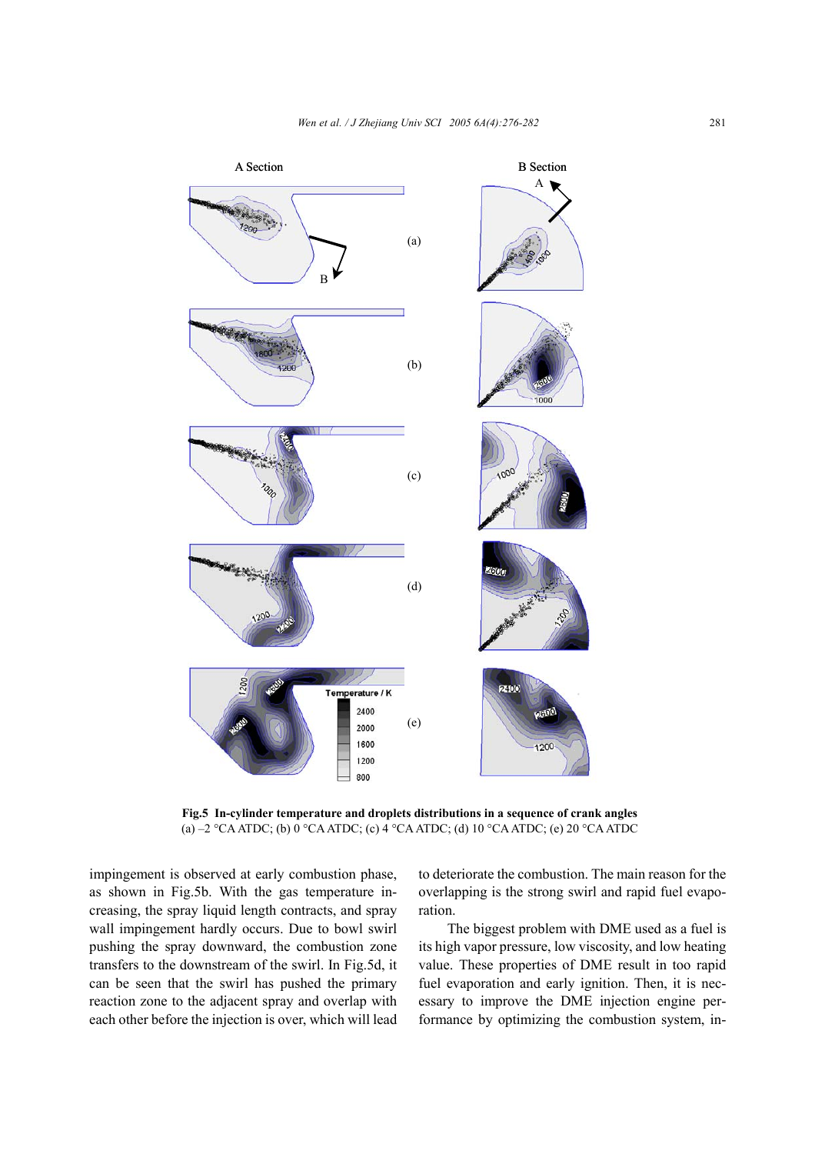

**Fig.5 In-cylinder temperature and droplets distributions in a sequence of crank angles**  (a) –2 °CA ATDC; (b) 0 °CA ATDC; (c) 4 °CA ATDC; (d) 10 °CA ATDC; (e) 20 °CA ATDC

impingement is observed at early combustion phase, as shown in Fig.5b. With the gas temperature increasing, the spray liquid length contracts, and spray wall impingement hardly occurs. Due to bowl swirl pushing the spray downward, the combustion zone transfers to the downstream of the swirl. In Fig.5d, it can be seen that the swirl has pushed the primary reaction zone to the adjacent spray and overlap with each other before the injection is over, which will lead to deteriorate the combustion. The main reason for the overlapping is the strong swirl and rapid fuel evaporation.

The biggest problem with DME used as a fuel is its high vapor pressure, low viscosity, and low heating value. These properties of DME result in too rapid fuel evaporation and early ignition. Then, it is necessary to improve the DME injection engine performance by optimizing the combustion system, in-